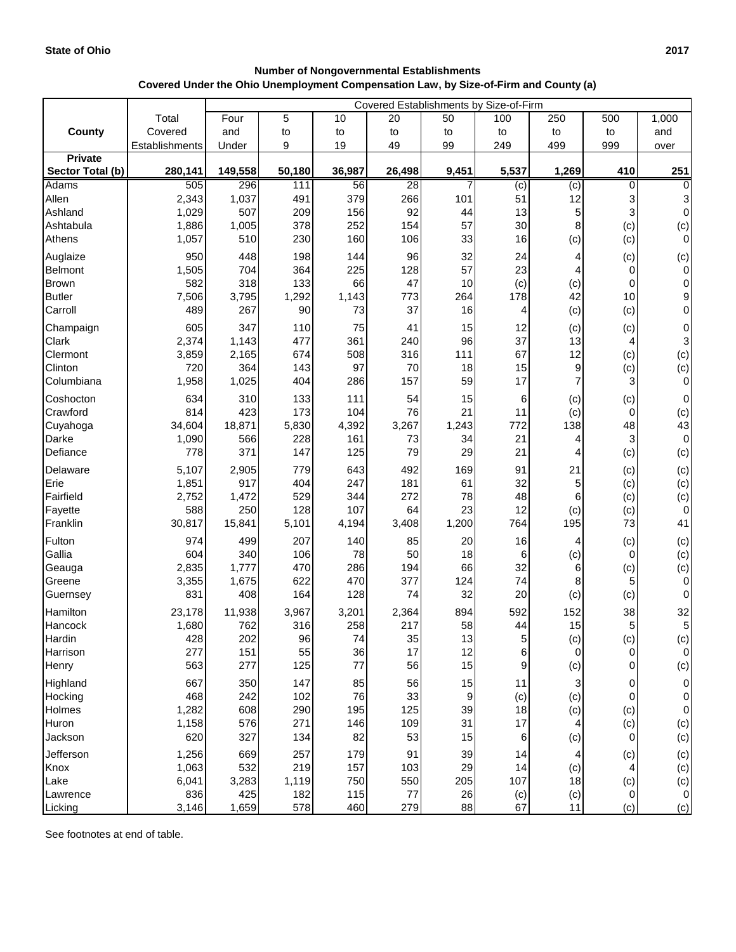## **Number of Nongovernmental Establishments Covered Under the Ohio Unemployment Compensation Law, by Size-of-Firm and County (a)**

|                  |                | Covered Establishments by Size-of-Firm |        |        |                 |                  |          |           |          |             |  |
|------------------|----------------|----------------------------------------|--------|--------|-----------------|------------------|----------|-----------|----------|-------------|--|
|                  | Total          | Four                                   | 5      | 10     | 20              | 50               | 100      | 250       | 500      | 1,000       |  |
| <b>County</b>    | Covered        | and                                    | to     | to     | to              | to               | to       | to        | to       | and         |  |
|                  | Establishments | Under                                  | 9      | 19     | 49              | 99               | 249      | 499       | 999      | over        |  |
| <b>Private</b>   |                |                                        |        |        |                 |                  |          |           |          |             |  |
| Sector Total (b) | 280,141        | 149,558                                | 50,180 | 36,987 | 26,498          | 9,451            | 5,537    | 1,269     | 410      | 251         |  |
| <b>Adams</b>     | 505            | 296                                    | 111    | 56     | $\overline{28}$ | 7                | (c)      | (c)       | 0        | 0           |  |
| Allen            | 2,343          | 1,037                                  | 491    | 379    | 266             | 101              | 51       | 12        |          | 3           |  |
| Ashland          | 1,029          | 507                                    | 209    | 156    | 92              | 44               | 13       | 5         |          | $\mathbf 0$ |  |
| Ashtabula        | 1,886          | 1,005                                  | 378    | 252    | 154             | 57               | 30       | 8         | (c)      | (c)         |  |
| Athens           | 1,057          | 510                                    | 230    | 160    | 106             | 33               | 16       | (c)       | (c)      | 0           |  |
| Auglaize         | 950            | 448                                    | 198    | 144    | 96              | 32               | 24       | 4         | (c)      | (c)         |  |
| <b>Belmont</b>   | 1,505          | 704                                    | 364    | 225    | 128             | 57               | 23       | 4         | 0        | $\mathbf 0$ |  |
| Brown            | 582            | 318                                    | 133    | 66     | 47              | 10               | (c)      | (c)       | 0        | 0           |  |
| <b>Butler</b>    | 7,506          | 3,795                                  | 1,292  | 1,143  | 773             | 264              | 178      | 42        | 10       | 9           |  |
| Carroll          | 489            | 267                                    | 90     | 73     | 37              | 16               | 4        | (c)       | (c)      | $\mathbf 0$ |  |
| Champaign        | 605            | 347                                    | 110    | 75     | 41              | 15               | 12       | (c)       | (c)      | 0           |  |
| Clark            | 2,374          | 1,143                                  | 477    | 361    | 240             | 96               | 37       | 13        | 4        | 3           |  |
| Clermont         | 3,859          | 2,165                                  | 674    | 508    | 316             | 111              | 67       | 12        | (c)      | (c)         |  |
| Clinton          | 720            | 364                                    | 143    | 97     | 70              | 18               | 15       | 9         | (c)      | (c)         |  |
| Columbiana       | 1,958          | 1,025                                  | 404    | 286    | 157             | 59               | 17       |           | 3        | 0           |  |
| Coshocton        | 634            | 310                                    | 133    | 111    | 54              | 15               | 6        | (c)       | (c)      | 0           |  |
| Crawford         | 814            | 423                                    | 173    | 104    | 76              | 21               | 11       | (c)       | $\Omega$ | (c)         |  |
| Cuyahoga         | 34,604         | 18,871                                 | 5,830  | 4,392  | 3,267           | 1,243            | 772      | 138       | 48       | 43          |  |
| Darke            | 1,090          | 566                                    | 228    | 161    | 73              | 34               | 21       | 4         | 3        | $\pmb{0}$   |  |
| Defiance         | 778            | 371                                    | 147    | 125    | 79              | 29               | 21       | 4         | (c)      | (c)         |  |
| Delaware         | 5,107          | 2,905                                  | 779    | 643    | 492             | 169              | 91       | 21        | (c)      | (c)         |  |
| Erie             | 1,851          | 917                                    | 404    | 247    | 181             | 61               | 32       | 5         | (c)      | (c)         |  |
| Fairfield        | 2,752          | 1,472                                  | 529    | 344    | 272             | 78               | 48       | 6         | (c)      | (c)         |  |
| Fayette          | 588            | 250                                    | 128    | 107    | 64              | 23               | 12       | (c)       | (c)      | $\pmb{0}$   |  |
| Franklin         | 30,817         | 15,841                                 | 5,101  | 4,194  | 3,408           | 1,200            | 764      | 195       | 73       | 41          |  |
| Fulton           | 974            | 499                                    | 207    | 140    | 85              | 20               | 16       | 4         | (c)      | (c)         |  |
| Gallia           | 604            | 340                                    | 106    | 78     | 50              | 18               | 6        | (c)       | $\Omega$ | (c)         |  |
| Geauga           | 2,835          | 1,777                                  | 470    | 286    | 194             | 66               | 32       | 6         | (c)      | (c)         |  |
| Greene           | 3,355          | 1,675                                  | 622    | 470    | 377             | 124              | 74       | 8         | 5        | $\pmb{0}$   |  |
| Guernsey         | 831            | 408                                    | 164    | 128    | 74              | 32               | 20       | (c)       | (c)      | 0           |  |
| Hamilton         | 23,178         | 11,938                                 | 3,967  | 3,201  | 2,364           | 894              | 592      | 152       | 38       | 32          |  |
| Hancock          | 1,680          | 762                                    | 316    | 258    | 217             | 58               | 44       | 15        | 5        | 5           |  |
| Hardin           | 428            | 202                                    | 96     | 74     | 35              | 13               | 5        | (c)       | (c)      | (c)         |  |
| Harrison         | 277            | 151                                    | 55     | 36     | 17              | 12               | 6        | 0         | 0        | $\mathbf 0$ |  |
| Henry            | 563            | 277                                    | 125    | 77     | 56              | 15               | 9        | (c)       | 0        | (c)         |  |
| Highland         | 667            | 350                                    | 147    | 85     | 56              | 15               | 11       | 3         | 0        | 0           |  |
| Hocking          | 468            | 242                                    | 102    | 76     | 33              | $\boldsymbol{9}$ | (c)      | (c)       | 0        | 0           |  |
| Holmes           | 1,282          | 608                                    | 290    | 195    | 125             | 39               | 18       | (c)       | (c)      | 0           |  |
| Huron            | 1,158          | 576                                    | 271    | 146    | 109             | 31               | 17       | 4         | (c)      | (c)         |  |
| Jackson          | 620            | 327                                    | 134    | 82     | 53              | 15               | 6        | (c)       | 0        | (c)         |  |
| Jefferson        | 1,256          | 669                                    | 257    | 179    | 91              | 39               |          |           |          |             |  |
| Knox             | 1,063          | 532                                    | 219    | 157    | 103             | 29               | 14<br>14 | 4         | (c)      | (c)<br>(c)  |  |
| Lake             | 6,041          | 3,283                                  | 1,119  | 750    | 550             | 205              | 107      | (c)<br>18 | (c)      | (c)         |  |
| Lawrence         | 836            | 425                                    | 182    | 115    | 77              | 26               | (c)      | (c)       | 0        | $\mathbf 0$ |  |
| Licking          | 3,146          | 1,659                                  | 578    | 460    | 279             | 88               | 67       | 11        | (c)      | (c)         |  |

See footnotes at end of table.